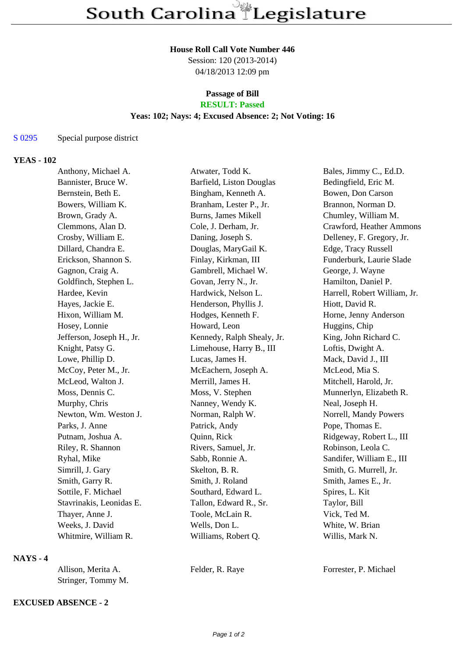## **House Roll Call Vote Number 446**

Session: 120 (2013-2014) 04/18/2013 12:09 pm

### **Passage of Bill RESULT: Passed**

# **Yeas: 102; Nays: 4; Excused Absence: 2; Not Voting: 16**

#### S 0295 Special purpose district

#### **YEAS - 102**

| Anthony, Michael A.       | Atwater, Todd K.           | Bales, Jimmy C., Ed.D.       |
|---------------------------|----------------------------|------------------------------|
| Bannister, Bruce W.       | Barfield, Liston Douglas   | Bedingfield, Eric M.         |
| Bernstein, Beth E.        | Bingham, Kenneth A.        | Bowen, Don Carson            |
| Bowers, William K.        | Branham, Lester P., Jr.    | Brannon, Norman D.           |
| Brown, Grady A.           | Burns, James Mikell        | Chumley, William M.          |
| Clemmons, Alan D.         | Cole, J. Derham, Jr.       | Crawford, Heather Ammons     |
| Crosby, William E.        | Daning, Joseph S.          | Delleney, F. Gregory, Jr.    |
| Dillard, Chandra E.       | Douglas, MaryGail K.       | Edge, Tracy Russell          |
| Erickson, Shannon S.      | Finlay, Kirkman, III       | Funderburk, Laurie Slade     |
| Gagnon, Craig A.          | Gambrell, Michael W.       | George, J. Wayne             |
| Goldfinch, Stephen L.     | Govan, Jerry N., Jr.       | Hamilton, Daniel P.          |
| Hardee, Kevin             | Hardwick, Nelson L.        | Harrell, Robert William, Jr. |
| Hayes, Jackie E.          | Henderson, Phyllis J.      | Hiott, David R.              |
| Hixon, William M.         | Hodges, Kenneth F.         | Horne, Jenny Anderson        |
| Hosey, Lonnie             | Howard, Leon               | Huggins, Chip                |
| Jefferson, Joseph H., Jr. | Kennedy, Ralph Shealy, Jr. | King, John Richard C.        |
| Knight, Patsy G.          | Limehouse, Harry B., III   | Loftis, Dwight A.            |
| Lowe, Phillip D.          | Lucas, James H.            | Mack, David J., III          |
| McCoy, Peter M., Jr.      | McEachern, Joseph A.       | McLeod, Mia S.               |
| McLeod, Walton J.         | Merrill, James H.          | Mitchell, Harold, Jr.        |
| Moss, Dennis C.           | Moss, V. Stephen           | Munnerlyn, Elizabeth R.      |
| Murphy, Chris             | Nanney, Wendy K.           | Neal, Joseph H.              |
| Newton, Wm. Weston J.     | Norman, Ralph W.           | Norrell, Mandy Powers        |
| Parks, J. Anne            | Patrick, Andy              | Pope, Thomas E.              |
| Putnam, Joshua A.         | Quinn, Rick                | Ridgeway, Robert L., III     |
| Riley, R. Shannon         | Rivers, Samuel, Jr.        | Robinson, Leola C.           |
| Ryhal, Mike               | Sabb, Ronnie A.            | Sandifer, William E., III    |
| Simrill, J. Gary          | Skelton, B. R.             | Smith, G. Murrell, Jr.       |
| Smith, Garry R.           | Smith, J. Roland           | Smith, James E., Jr.         |
| Sottile, F. Michael       | Southard, Edward L.        | Spires, L. Kit               |
| Stavrinakis, Leonidas E.  | Tallon, Edward R., Sr.     | Taylor, Bill                 |
| Thayer, Anne J.           | Toole, McLain R.           | Vick, Ted M.                 |
| Weeks, J. David           | Wells, Don L.              | White, W. Brian              |
| Whitmire, William R.      | Williams, Robert Q.        | Willis, Mark N.              |

### **NAYS - 4**

| Allison, Merita A. | Felder, R. Raye | Forrester, P. Michael |
|--------------------|-----------------|-----------------------|
| Stringer, Tommy M. |                 |                       |

#### **EXCUSED ABSENCE - 2**